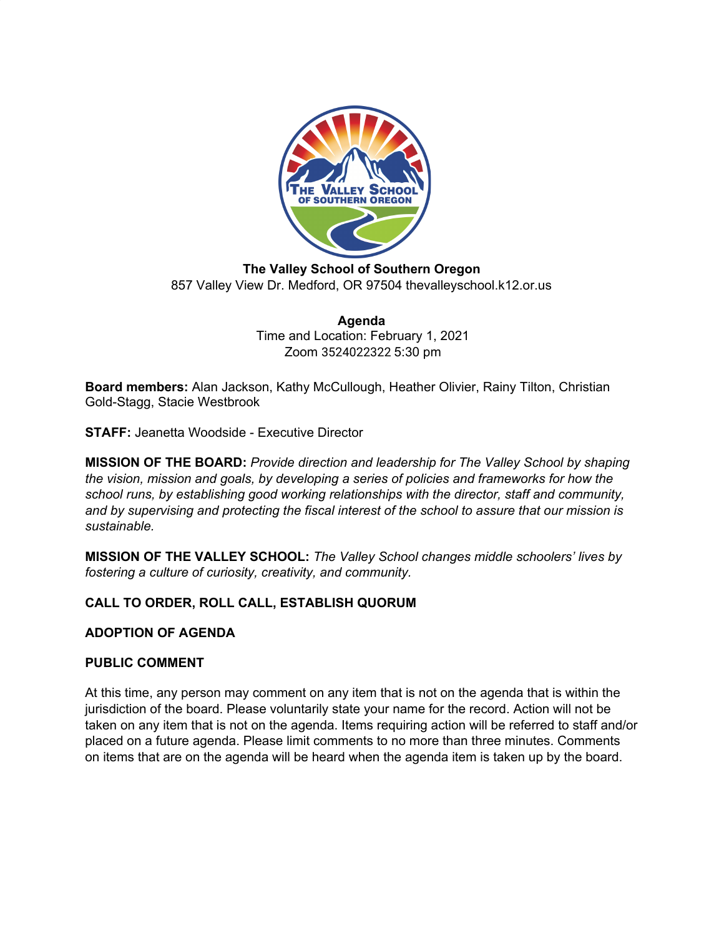

**The Valley School of Southern Oregon** 857 Valley View Dr. Medford, OR 97504 thevalleyschool.k12.or.us

> **Agenda** Time and Location: February 1, 2021 Zoom 3524022322 5:30 pm

**Board members:** Alan Jackson, Kathy McCullough, Heather Olivier, Rainy Tilton, Christian Gold-Stagg, Stacie Westbrook

**STAFF:** Jeanetta Woodside - Executive Director

**MISSION OF THE BOARD:** *Provide direction and leadership for The Valley School by shaping the vision, mission and goals, by developing a series of policies and frameworks for how the school runs, by establishing good working relationships with the director, staff and community, and by supervising and protecting the fiscal interest of the school to assure that our mission is sustainable.*

**MISSION OF THE VALLEY SCHOOL:** *The Valley School changes middle schoolers' lives by fostering a culture of curiosity, creativity, and community.*

# **CALL TO ORDER, ROLL CALL, ESTABLISH QUORUM**

# **ADOPTION OF AGENDA**

# **PUBLIC COMMENT**

At this time, any person may comment on any item that is not on the agenda that is within the jurisdiction of the board. Please voluntarily state your name for the record. Action will not be taken on any item that is not on the agenda. Items requiring action will be referred to staff and/or placed on a future agenda. Please limit comments to no more than three minutes. Comments on items that are on the agenda will be heard when the agenda item is taken up by the board.